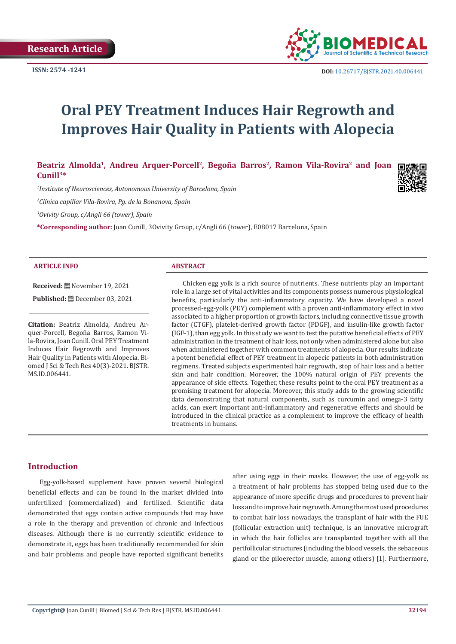

# **Oral PEY Treatment Induces Hair Regrowth and Improves Hair Quality in Patients with Alopecia**

Beatriz Almolda<sup>1</sup>, Andreu Arquer-Porcell<sup>2</sup>, Begoña Barros<sup>2</sup>, Ramon Vila-Rovira<sup>2</sup> and Joan **Cunill3\***

*1 Institute of Neurosciences, Autonomous University of Barcelona, Spain*

*2 Clínica capillar Vila-Rovira, Pg. de la Bonanova, Spain*

*3 Ovivity Group, c/Angli 66 (tower), Spain*

**\*Corresponding author:** Joan Cunill, 3Ovivity Group, c/Angli 66 (tower), E08017 Barcelona, Spain

#### **ARTICLE INFO ABSTRACT**

**Received:** November 19, 2021

**Published:** December 03, 2021

**Citation:** Beatriz Almolda, Andreu Arquer-Porcell, Begoña Barros, Ramon Vila-Rovira, Joan Cunill. Oral PEY Treatment Induces Hair Regrowth and Improves Hair Quality in Patients with Alopecia. Biomed J Sci & Tech Res 40(3)-2021. BJSTR. MS.ID.006441.

Chicken egg yolk is a rich source of nutrients. These nutrients play an important role in a large set of vital activities and its components possess numerous physiological benefits, particularly the anti-inflammatory capacity. We have developed a novel processed-egg-yolk (PEY) complement with a proven anti-inflammatory effect in vivo associated to a higher proportion of growth factors, including connective tissue growth factor (CTGF), platelet-derived growth factor (PDGF), and insulin-like growth factor (IGF-1), than egg yolk. In this study we want to test the putative beneficial effects of PEY administration in the treatment of hair loss, not only when administered alone but also when administered together with common treatments of alopecia. Our results indicate a potent beneficial effect of PEY treatment in alopecic patients in both administration regimens. Treated subjects experimented hair regrowth, stop of hair loss and a better skin and hair condition. Moreover, the 100% natural origin of PEY prevents the appearance of side effects. Together, these results point to the oral PEY treatment as a promising treatment for alopecia. Moreover, this study adds to the growing scientific data demonstrating that natural components, such as curcumin and omega-3 fatty acids, can exert important anti-inflammatory and regenerative effects and should be introduced in the clinical practice as a complement to improve the efficacy of health treatments in humans.

#### **Introduction**

Egg-yolk-based supplement have proven several biological beneficial effects and can be found in the market divided into unfertilized (commercialized) and fertilized. Scientific data demonstrated that eggs contain active compounds that may have a role in the therapy and prevention of chronic and infectious diseases. Although there is no currently scientific evidence to demonstrate it, eggs has been traditionally recommended for skin and hair problems and people have reported significant benefits after using eggs in their masks. However, the use of egg-yolk as a treatment of hair problems has stopped being used due to the appearance of more specific drugs and procedures to prevent hair loss and to improve hair regrowth. Among the most used procedures to combat hair loss nowadays, the transplant of hair with the FUE (follicular extraction unit) technique, is an innovative micrograft in which the hair follicles are transplanted together with all the perifollicular structures (including the blood vessels, the sebaceous gland or the piloerector muscle, among others) [1]. Furthermore,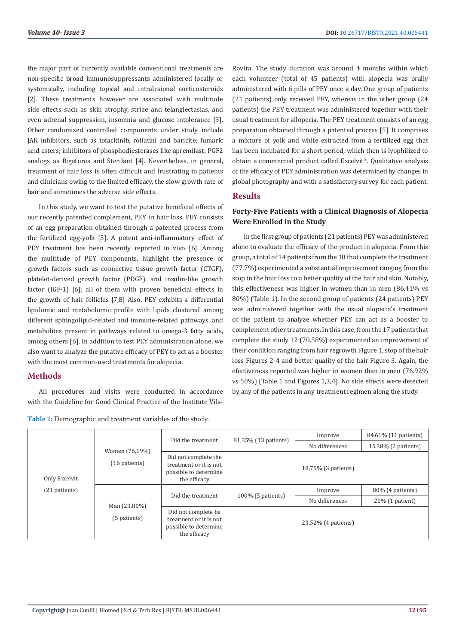the major part of currently available conventional treatments are non-specific broad immunosuppressants administered locally or systemically, including topical and intralesional corticosteroids [2]. These treatments however are associated with multitude side effects such as skin atrophy, striae and telangiectasias, and even adrenal suppression, insomnia and glucose intolerance [3]. Other randomized controlled components under study include JAK inhibitors, such as tofacitinib, rollatini and baricite; fumaric acid esters; inhibitors of phosphodiesterases like apremilast; PGF2 analogs as Bigatures and Sterilant [4]. Nevertheless, in general, treatment of hair loss is often difficult and frustrating to patients and clinicians owing to the limited efficacy, the slow growth rate of hair and sometimes the adverse side effects.

In this study, we want to test the putative beneficial effects of our recently patented complement, PEY, in hair loss. PEY consists of an egg preparation obtained through a patented process from the fertilized egg-yolk [5]. A potent anti-inflammatory effect of PEY treatment has been recently reported in vivo [6]. Among the multitude of PEY components, highlight the presence of growth factors such as connective tissue growth factor (CTGF), platelet-derived growth factor (PDGF), and insulin-like growth factor (IGF-1) [6]; all of them with proven beneficial effects in the growth of hair follicles [7,8] Also, PEY exhibits a differential lipidomic and metabolomic profile with lipids clustered among different sphingolipid-related and immune-related pathways, and metabolites present in pathways related to omega-3 fatty acids, among others [6]. In addition to test PEY administration alone, we also want to analyze the putative efficacy of PEY to act as a booster with the most common-used treatments for alopecia.

## **Methods**

All procedures and visits were conducted in accordance with the Guideline for Good Clinical Practice of the Institute Vila-

**Table 1:** Demographic and treatment variables of the study.

Rovira. The study duration was around 4 months within which each volunteer (total of 45 patients) with alopecia was orally administered with 6 pills of PEY once a day. One group of patients (21 patients) only received PEY, whereas in the other group (24 patients) the PEY treatment was administered together with their usual treatment for allopecia. The PEY treatment consists of an egg preparation obtained through a patented process [5]. It comprises a mixture of yolk and white extracted from a fertilized egg that has been incubated for a short period, which then is lyophilized to obtain a commercial product called Excelvit®. Qualitative analysis of the efficacy of PEY administration was determined by changes in global photography and with a satisfactory survey for each patient.

# **Results**

# **Forty-Five Patients with a Clinical Diagnosis of Alopecia Were Enrolled in the Study**

In the first group of patients (21 patients) PEY was administered alone to evaluate the efficacy of the product in alopecia. From this group, a total of 14 patients from the 18 that complete the treatment (77.7%) experimented a substantial improvement ranging from the stop in the hair loss to a better quality of the hair and skin. Notably, this effectiveness was higher in women than in men (86.41% vs 80%) (Table 1). In the second group of patients (24 patients) PEY was administered together with the usual alopecia's treatment of the patient to analyze whether PEY can act as a booster to complement other treatments. In this case, from the 17 patients that complete the study 12 (70.58%) experimented an improvement of their condition ranging from hair regrowth Figure 1, stop of the hair loss Figures 2-4 and better quality of the hair Figure 3. Again, the efectiveness reported was higher in women than in men (76.92% vs 50%) (Table 1 and Figures 1,3,4). No side effects were detected by any of the patients in any treatment regimen along the study.

| Only Excelvit<br>(21 patients) | Women (76,19%)<br>$(16$ patients) | Did the treatment                                                                       | 81,35% (13 patients) | Improve        | 84.61% (11 patients) |
|--------------------------------|-----------------------------------|-----------------------------------------------------------------------------------------|----------------------|----------------|----------------------|
|                                |                                   |                                                                                         |                      | No differences | 15.38% (2 patients)  |
|                                |                                   | Did not complete the<br>treatment or it is not<br>possible to determine<br>the efficacy | 18,75% (3 patients)  |                |                      |
|                                | Man (23,80%)<br>(5 patients)      | Did the treatment                                                                       | 100% (5 patients)    | Improve        | $80\%$ (4 patients)  |
|                                |                                   |                                                                                         |                      | No differences | $20\%$ (1 patient)   |
|                                |                                   | Did not complete he<br>treatment or it is not<br>possible to determine<br>the efficacy  | 23,52% (4 patients)  |                |                      |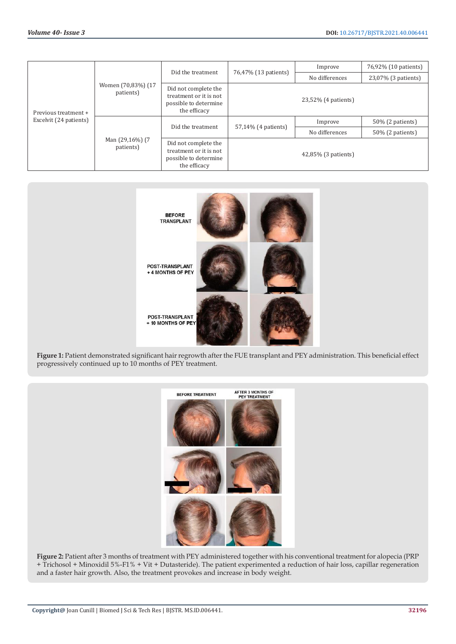| Previous treatment +<br>Excelvit (24 patients) | Women (70,83%) (17<br>patients) | Did the treatment                                                                       | 76,47% (13 patients) | Improve        | 76,92% (10 patients) |
|------------------------------------------------|---------------------------------|-----------------------------------------------------------------------------------------|----------------------|----------------|----------------------|
|                                                |                                 |                                                                                         |                      | No differences | 23,07% (3 patients)  |
|                                                |                                 | Did not complete the<br>treatment or it is not<br>possible to determine<br>the efficacy | 23,52% (4 patients)  |                |                      |
|                                                | Man (29,16%) (7<br>patients)    | Did the treatment                                                                       | 57,14% (4 patients)  | Improve        | $50\%$ (2 patients)  |
|                                                |                                 |                                                                                         |                      | No differences | $50\%$ (2 patients)  |
|                                                |                                 | Did not complete the<br>treatment or it is not<br>possible to determine<br>the efficacy | 42,85% (3 patients)  |                |                      |



**Figure 1:** Patient demonstrated significant hair regrowth after the FUE transplant and PEY administration. This beneficial effect progressively continued up to 10 months of PEY treatment.



**Figure 2:** Patient after 3 months of treatment with PEY administered together with his conventional treatment for alopecia (PRP + Trichosol + Minoxidil 5%-F1% + Vit + Dutasteride). The patient experimented a reduction of hair loss, capillar regeneration and a faster hair growth. Also, the treatment provokes and increase in body weight.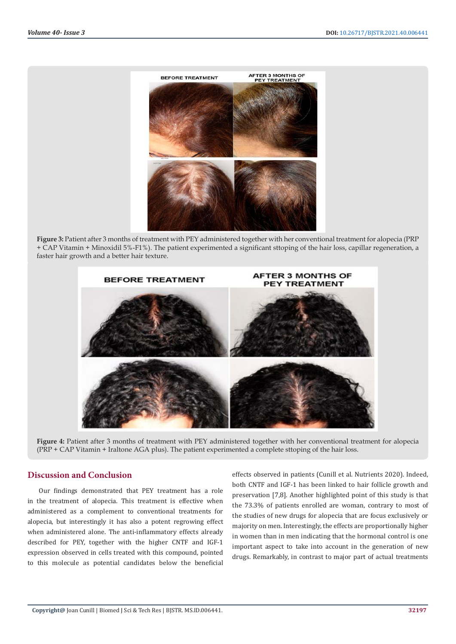

**Figure 3:** Patient after 3 months of treatment with PEY administered together with her conventional treatment for alopecia (PRP + CAP Vitamin + Minoxidil 5%-F1%). The patient experimented a significant sttoping of the hair loss, capillar regeneration, a faster hair growth and a better hair texture.



**Figure 4:** Patient after 3 months of treatment with PEY administered together with her conventional treatment for alopecia (PRP + CAP Vitamin + Iraltone AGA plus). The patient experimented a complete sttoping of the hair loss.

## **Discussion and Conclusion**

Our findings demonstrated that PEY treatment has a role in the treatment of alopecia. This treatment is effective when administered as a complement to conventional treatments for alopecia, but interestingly it has also a potent regrowing effect when administered alone. The anti-inflammatory effects already described for PEY, together with the higher CNTF and IGF-1 expression observed in cells treated with this compound, pointed to this molecule as potential candidates below the beneficial

effects observed in patients (Cunill et al. Nutrients 2020). Indeed, both CNTF and IGF-1 has been linked to hair follicle growth and preservation [7,8]. Another highlighted point of this study is that the 73.3% of patients enrolled are woman, contrary to most of the studies of new drugs for alopecia that are focus exclusively or majority on men. Interestingly, the effects are proportionally higher in women than in men indicating that the hormonal control is one important aspect to take into account in the generation of new drugs. Remarkably, in contrast to major part of actual treatments